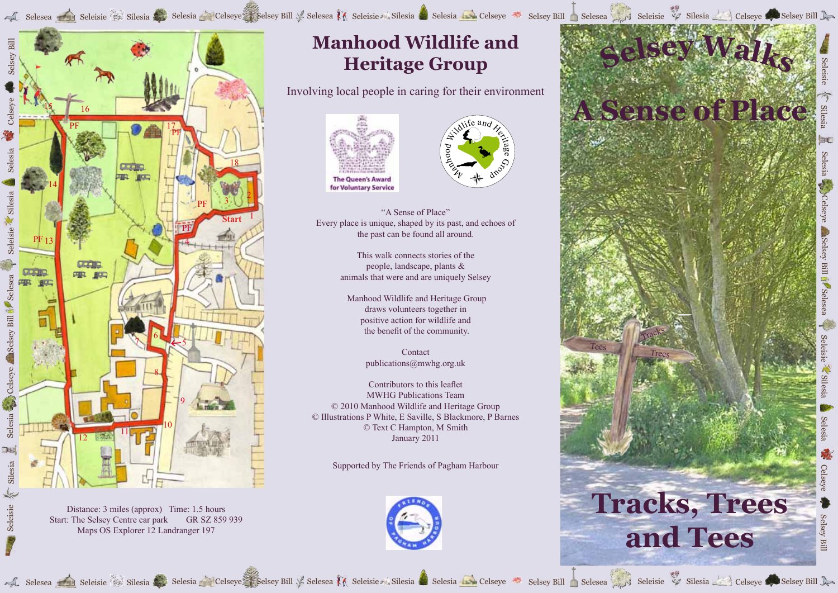Selesea Seleisie Silesia Selesia Celseye Selsey Bill Selesea M Selesia Selesia Celseye Selsey Bill Selesea Selesia Selesia Selesia Selesia Selesia Celseye Selsey Bill Selesea Selesia Selesia Selesia Celseye Selesia Selesia



Distance: 3 miles (approx) Time: 1.5 hours Start: The Selsey Centre car park GR SZ 859 939 Maps OS Explorer 12 Landranger 197

Seleisie

## **Manhood Wildlife and Heritage Group**

Involving local people in caring for their environment





"A Sense of Place" Every place is unique, shaped by its past, and echoes of the past can be found all around.

> This walk connects stories of the people, landscape, plants & animals that were and are uniquely Selsey

 Manhood Wildlife and Heritage Group draws volunteers together in positive action for wildlife and the benefit of the community.

> Contact publications@mwhg.org.uk

Contributors to this leaflet MWHG Publications Team © 2010 Manhood Wildlife and Heritage Group © Illustrations P White, E Saville, S Blackmore, P Barnes © Text C Hampton, M Smith January 2011

Supported by The Friends of Pagham Harbour





Seleisie

Silesia

Selesia

Celseye

Selsey Bill

Selesea

Seleisie

Silesia

Selesia

Celseye

Selesea Seleisie Silesia Selesia Celseye Selsey Bill Selesea M Selesia Silesia Selesia Celseye Selsey Bill Selesea Selsey Bill Selesea Selseye Selseye Selseye Selseye Selsey Bill Selesia Selesia Selesia Celseye Selsey Bill